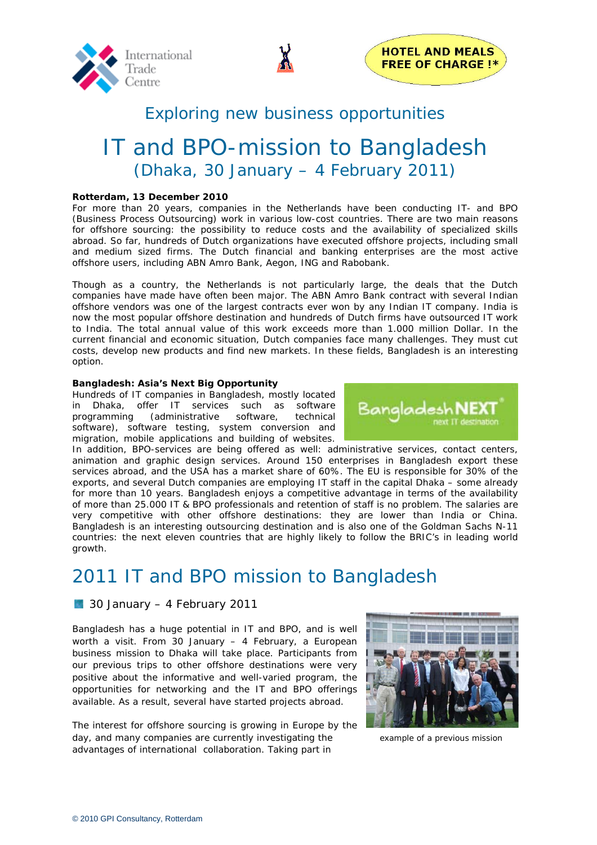



# Exploring new business opportunities

# IT and BPO-mission to Bangladesh (Dhaka, 30 January – 4 February 2011)

### **Rotterdam, 13 December 2010**

For more than 20 years, companies in the Netherlands have been conducting IT- and BPO (Business Process Outsourcing) work in various low-cost countries. There are two main reasons for offshore sourcing: the possibility to reduce costs and the availability of specialized skills abroad. So far, hundreds of Dutch organizations have executed offshore projects, including small and medium sized firms. The Dutch financial and banking enterprises are the most active offshore users, including ABN Amro Bank, Aegon, ING and Rabobank.

Though as a country, the Netherlands is not particularly large, the deals that the Dutch companies have made have often been major. The ABN Amro Bank contract with several Indian offshore vendors was one of the largest contracts ever won by any Indian IT company. India is now the most popular offshore destination and hundreds of Dutch firms have outsourced IT work to India. The total annual value of this work exceeds more than 1.000 million Dollar. In the current financial and economic situation, Dutch companies face many challenges. They must cut costs, develop new products and find new markets. In these fields, Bangladesh is an interesting option.

#### **Bangladesh: Asia's Next Big Opportunity**

Hundreds of IT companies in Bangladesh, mostly located in Dhaka, offer IT services such as software programming (administrative software, technical software), software testing, system conversion and migration, mobile applications and building of websites.



In addition, BPO-services are being offered as well: administrative services, contact centers, animation and graphic design services. Around 150 enterprises in Bangladesh export these services abroad, and the USA has a market share of 60%. The EU is responsible for 30% of the exports, and several Dutch companies are employing IT staff in the capital Dhaka – some already for more than 10 years. Bangladesh enjoys a competitive advantage in terms of the availability of more than 25.000 IT & BPO professionals and retention of staff is no problem. The salaries are very competitive with other offshore destinations: they are lower than India or China. Bangladesh is an interesting outsourcing destination and is also one of the Goldman Sachs N-11 countries: the next eleven countries that are highly likely to follow the BRIC's in leading world growth.

# 2011 IT and BPO mission to Bangladesh

## **130 January – 4 February 2011**

Bangladesh has a huge potential in IT and BPO, and is well worth a visit. From 30 January – 4 February, a European business mission to Dhaka will take place. Participants from our previous trips to other offshore destinations were very positive about the informative and well-varied program, the opportunities for networking and the IT and BPO offerings available. As a result, several have started projects abroad.

The interest for offshore sourcing is growing in Europe by the day, and many companies are currently investigating the example of a previous mission advantages of international collaboration. Taking part in

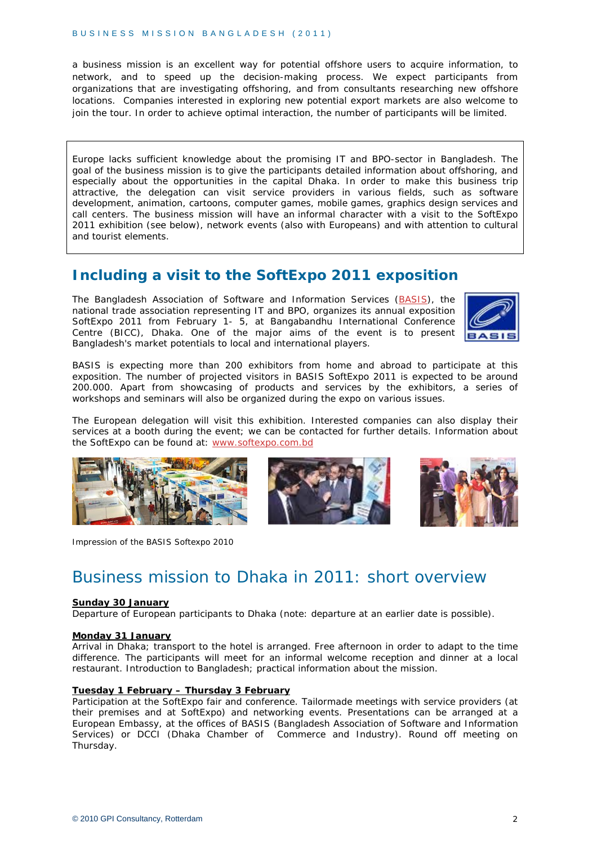a business mission is an excellent way for potential offshore users to acquire information, to network, and to speed up the decision-making process. We expect participants from organizations that are investigating offshoring, and from consultants researching new offshore locations. Companies interested in exploring new potential export markets are also welcome to join the tour. In order to achieve optimal interaction, the number of participants will be limited.

Europe lacks sufficient knowledge about the promising IT and BPO-sector in Bangladesh. The goal of the business mission is to give the participants detailed information about offshoring, and especially about the opportunities in the capital Dhaka. In order to make this business trip attractive, the delegation can visit service providers in various fields, such as software development, animation, cartoons, computer games, mobile games, graphics design services and call centers. The business mission will have an informal character with a visit to the SoftExpo 2011 exhibition (see below), network events (also with Europeans) and with attention to cultural and tourist elements.

# **Including a visit to the SoftExpo 2011 exposition**

The Bangladesh Association of Software and Information Services ([BASIS\)](http://www.basis.org.bd/), the national trade association representing IT and BPO, organizes its annual exposition SoftExpo 2011 from February 1- 5, at Bangabandhu International Conference Centre (BICC), Dhaka. One of the major aims of the event is to present Bangladesh's market potentials to local and international players.



BASIS is expecting more than 200 exhibitors from home and abroad to participate at this exposition. The number of projected visitors in BASIS SoftExpo 2011 is expected to be around 200.000. Apart from showcasing of products and services by the exhibitors, a series of workshops and seminars will also be organized during the expo on various issues.

The European delegation will visit this exhibition. Interested companies can also display their services at a booth during the event; we can be contacted for further details. Information about the SoftExpo can be found at: [www.softexpo.com.bd](http://www.softexpo.com.bd/)



Impression of the BASIS Softexpo 2010





# Business mission to Dhaka in 2011: short overview

#### **Sunday 30 January**

Departure of European participants to Dhaka (note: departure at an earlier date is possible).

### **Monday 31 January**

Arrival in Dhaka; transport to the hotel is arranged. Free afternoon in order to adapt to the time difference. The participants will meet for an informal welcome reception and dinner at a local restaurant. Introduction to Bangladesh; practical information about the mission.

#### **Tuesday 1 February – Thursday 3 February**

Participation at the SoftExpo fair and conference. Tailormade meetings with service providers (at their premises and at SoftExpo) and networking events. Presentations can be arranged at a European Embassy, at the offices of BASIS (Bangladesh Association of Software and Information Services) or DCCI (Dhaka Chamber of Commerce and Industry). Round off meeting on Thursday.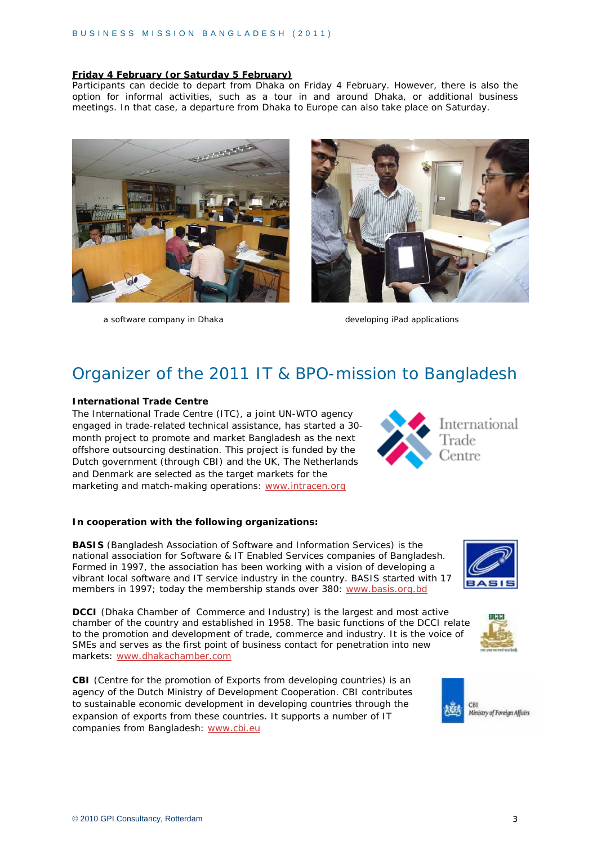## **Friday 4 February (or Saturday 5 February)**

Participants can decide to depart from Dhaka on Friday 4 February. However, there is also the option for informal activities, such as a tour in and around Dhaka, or additional business meetings. In that case, a departure from Dhaka to Europe can also take place on Saturday.



a software company in Dhaka developing iPad applications



# Organizer of the 2011 IT & BPO-mission to Bangladesh

### **International Trade Centre**

The International Trade Centre (ITC), a joint UN-WTO agency engaged in trade-related technical assistance, has started a 30 month project to promote and market Bangladesh as the next offshore outsourcing destination. This project is funded by the Dutch government (through CBI) and the UK, The Netherlands and Denmark are selected as the target markets for the marketing and match-making operations: [www.intracen.org](http://www.intracen.org/)



#### **In cooperation with the following organizations:**

**BASIS** (Bangladesh Association of Software and Information Services) is the national association for Software & IT Enabled Services companies of Bangladesh. Formed in 1997, the association has been working with a vision of developing a vibrant local software and IT service industry in the country. BASIS started with 17 members in 1997; today the membership stands over 380: [www.basis.org.bd](http://www.basis.org.bd/)

**DCCI** (Dhaka Chamber of Commerce and Industry) is the largest and most active chamber of the country and established in 1958. The basic functions of the DCCI relate to the promotion and development of trade, commerce and industry. It is the voice of SMEs and serves as the first point of business contact for penetration into new markets: [www.dhakachamber.com](http://www.dhakachamber.com/)

**CBI** (Centre for the promotion of Exports from developing countries) is an agency of the Dutch Ministry of Development Cooperation. CBI contributes to sustainable economic development in developing countries through the expansion of exports from these countries. It supports a number of IT companies from Bangladesh: [www.cbi.eu](http://www.cbi.eu/)